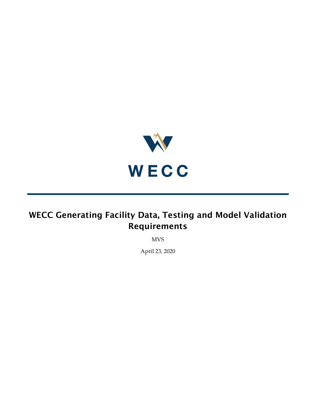

MVS

April 23, 2020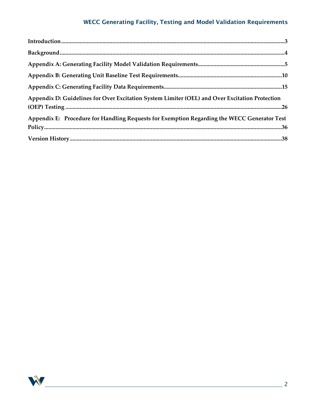| Appendix D: Guidelines for Over Excitation System Limiter (OEL) and Over Excitation Protection |  |
|------------------------------------------------------------------------------------------------|--|
| Appendix E: Procedure for Handling Requests for Exemption Regarding the WECC Generator Test    |  |
|                                                                                                |  |

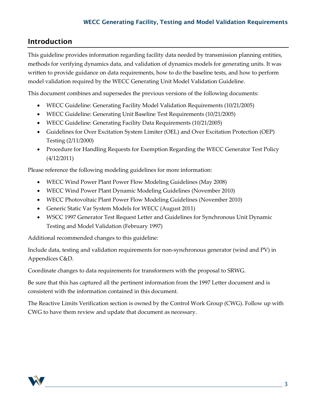## <span id="page-2-0"></span>Introduction

This guideline provides information regarding facility data needed by transmission planning entities, methods for verifying dynamics data, and validation of dynamics models for generating units. It was written to provide guidance on data requirements, how to do the baseline tests, and how to perform model validation required by the WECC Generating Unit Model Validation Guideline.

This document combines and supersedes the previous versions of the following documents:

- WECC Guideline: Generating Facility Model Validation Requirements (10/21/2005)
- WECC Guideline: Generating Unit Baseline Test Requirements (10/21/2005)
- WECC Guideline: Generating Facility Data Requirements (10/21/2005)
- Guidelines for Over Excitation System Limiter (OEL) and Over Excitation Protection (OEP) Testing (2/11/2000)
- Procedure for Handling Requests for Exemption Regarding the WECC Generator Test Policy (4/12/2011)

Please reference the following modeling guidelines for more information:

- WECC Wind Power Plant Power Flow Modeling Guidelines (May 2008)
- WECC Wind Power Plant Dynamic Modeling Guidelines (November 2010)
- WECC Photovoltaic Plant Power Flow Modeling Guidelines (November 2010)
- Generic Static Var System Models for WECC (August 2011)
- WSCC 1997 Generator Test Request Letter and Guidelines for Synchronous Unit Dynamic Testing and Model Validation (February 1997)

Additional recommended changes to this guideline:

Include data, testing and validation requirements for non-synchronous generator (wind and PV) in Appendices C&D.

Coordinate changes to data requirements for transformers with the proposal to SRWG.

Be sure that this has captured all the pertinent information from the 1997 Letter document and is consistent with the information contained in this document.

The Reactive Limits Verification section is owned by the Control Work Group (CWG). Follow up with CWG to have them review and update that document as necessary.

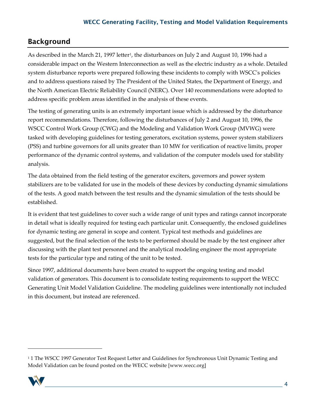# <span id="page-3-0"></span>Background

As described in the March 2[1,](#page-3-1) 1997 letter<sup>1</sup>, the disturbances on July 2 and August 10, 1996 had a considerable impact on the Western Interconnection as well as the electric industry as a whole. Detailed system disturbance reports were prepared following these incidents to comply with WSCC's policies and to address questions raised by The President of the United States, the Department of Energy, and the North American Electric Reliability Council (NERC). Over 140 recommendations were adopted to address specific problem areas identified in the analysis of these events.

The testing of generating units is an extremely important issue which is addressed by the disturbance report recommendations. Therefore, following the disturbances of July 2 and August 10, 1996, the WSCC Control Work Group (CWG) and the Modeling and Validation Work Group (MVWG) were tasked with developing guidelines for testing generators, excitation systems, power system stabilizers (PSS) and turbine governors for all units greater than 10 MW for verification of reactive limits, proper performance of the dynamic control systems, and validation of the computer models used for stability analysis.

The data obtained from the field testing of the generator exciters, governors and power system stabilizers are to be validated for use in the models of these devices by conducting dynamic simulations of the tests. A good match between the test results and the dynamic simulation of the tests should be established.

It is evident that test guidelines to cover such a wide range of unit types and ratings cannot incorporate in detail what is ideally required for testing each particular unit. Consequently, the enclosed guidelines for dynamic testing are general in scope and content. Typical test methods and guidelines are suggested, but the final selection of the tests to be performed should be made by the test engineer after discussing with the plant test personnel and the analytical modeling engineer the most appropriate tests for the particular type and rating of the unit to be tested.

Since 1997, additional documents have been created to support the ongoing testing and model validation of generators. This document is to consolidate testing requirements to support the WECC Generating Unit Model Validation Guideline. The modeling guidelines were intentionally not included in this document, but instead are referenced.

<span id="page-3-1"></span><sup>&</sup>lt;sup>1</sup> 1 The WSCC 1997 Generator Test Request Letter and Guidelines for Synchronous Unit Dynamic Testing and Model Validation can be found posted on the WECC website [www.wecc.org]



 $\overline{a}$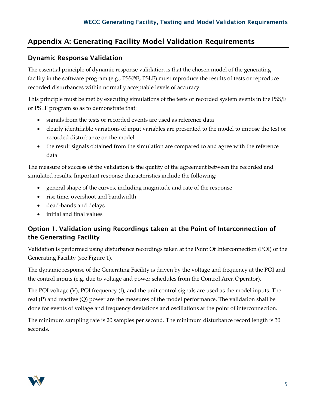## <span id="page-4-0"></span>Appendix A: Generating Facility Model Validation Requirements

## Dynamic Response Validation

The essential principle of dynamic response validation is that the chosen model of the generating facility in the software program (e.g., PSS®E, PSLF) must reproduce the results of tests or reproduce recorded disturbances within normally acceptable levels of accuracy.

This principle must be met by executing simulations of the tests or recorded system events in the PSS/E or PSLF program so as to demonstrate that:

- signals from the tests or recorded events are used as reference data
- clearly identifiable variations of input variables are presented to the model to impose the test or recorded disturbance on the model
- the result signals obtained from the simulation are compared to and agree with the reference data

The measure of success of the validation is the quality of the agreement between the recorded and simulated results. Important response characteristics include the following:

- general shape of the curves, including magnitude and rate of the response
- rise time, overshoot and bandwidth
- dead-bands and delays
- initial and final values

## Option 1. Validation using Recordings taken at the Point of Interconnection of the Generating Facility

Validation is performed using disturbance recordings taken at the Point Of Interconnection (POI) of the Generating Facility (see Figure 1).

The dynamic response of the Generating Facility is driven by the voltage and frequency at the POI and the control inputs (e.g. due to voltage and power schedules from the Control Area Operator).

The POI voltage (V), POI frequency (f), and the unit control signals are used as the model inputs. The real (P) and reactive (Q) power are the measures of the model performance. The validation shall be done for events of voltage and frequency deviations and oscillations at the point of interconnection.

The minimum sampling rate is 20 samples per second. The minimum disturbance record length is 30 seconds.

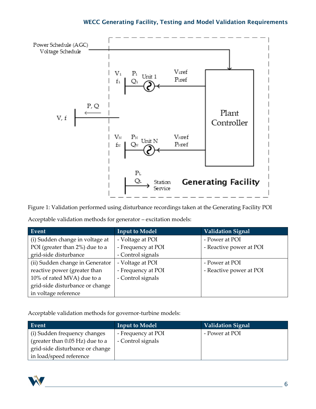

Figure 1: Validation performed using disturbance recordings taken at the Generating Facility POI Acceptable validation methods for generator – excitation models:

| Event                           | <b>Input to Model</b> | Validation Signal       |
|---------------------------------|-----------------------|-------------------------|
| (i) Sudden change in voltage at | - Voltage at POI      | - Power at POI          |
| POI (greater than 2%) due to a  | - Frequency at POI    | - Reactive power at POI |
| grid-side disturbance           | - Control signals     |                         |
| (ii) Sudden change in Generator | - Voltage at POI      | - Power at POI          |
| reactive power (greater than    | - Frequency at POI    | - Reactive power at POI |
| 10% of rated MVA) due to a      | - Control signals     |                         |
| grid-side disturbance or change |                       |                         |
| in voltage reference            |                       |                         |

Acceptable validation methods for governor-turbine models:

| Event                             | <b>Input to Model</b> | Validation Signal |
|-----------------------------------|-----------------------|-------------------|
| (i) Sudden frequency changes      | - Frequency at POI    | - Power at POI    |
| (greater than $0.05$ Hz) due to a | - Control signals     |                   |
| grid-side disturbance or change   |                       |                   |
| in load/speed reference           |                       |                   |

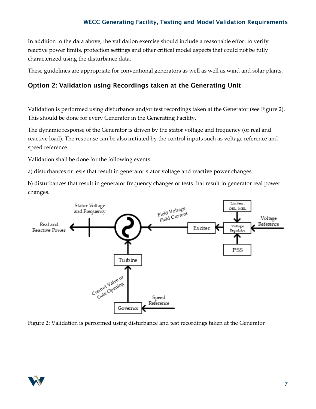In addition to the data above, the validation exercise should include a reasonable effort to verify reactive power limits, protection settings and other critical model aspects that could not be fully characterized using the disturbance data.

These guidelines are appropriate for conventional generators as well as well as wind and solar plants.

### Option 2: Validation using Recordings taken at the Generating Unit

Validation is performed using disturbance and/or test recordings taken at the Generator (see Figure 2). This should be done for every Generator in the Generating Facility.

The dynamic response of the Generator is driven by the stator voltage and frequency (or real and reactive load). The response can be also initiated by the control inputs such as voltage reference and speed reference.

Validation shall be done for the following events:

a) disturbances or tests that result in generator stator voltage and reactive power changes.

b) disturbances that result in generator frequency changes or tests that result in generator real power changes.



Figure 2: Validation is performed using disturbance and test recordings taken at the Generator

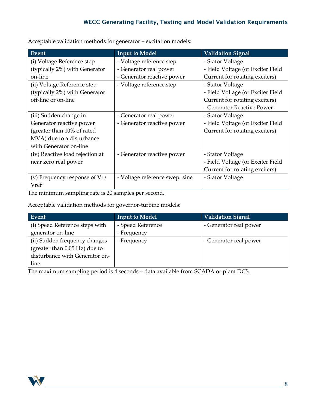| Event                           | <b>Input to Model</b>          | <b>Validation Signal</b>          |  |
|---------------------------------|--------------------------------|-----------------------------------|--|
| (i) Voltage Reference step      | - Voltage reference step       | - Stator Voltage                  |  |
| (typically 2%) with Generator   | - Generator real power         | - Field Voltage (or Exciter Field |  |
| on-line                         | - Generator reactive power     | Current for rotating exciters)    |  |
| (ii) Voltage Reference step     | - Voltage reference step       | - Stator Voltage                  |  |
| (typically 2%) with Generator   |                                | - Field Voltage (or Exciter Field |  |
| off-line or on-line             |                                | Current for rotating exciters)    |  |
|                                 |                                | - Generator Reactive Power        |  |
| (iii) Sudden change in          | - Generator real power         | - Stator Voltage                  |  |
| Generator reactive power        | - Generator reactive power     | - Field Voltage (or Exciter Field |  |
| (greater than 10% of rated      |                                | Current for rotating exciters)    |  |
| MVA) due to a disturbance       |                                |                                   |  |
| with Generator on-line          |                                |                                   |  |
| (iv) Reactive load rejection at | - Generator reactive power     | - Stator Voltage                  |  |
| near zero real power            |                                | - Field Voltage (or Exciter Field |  |
|                                 |                                | Current for rotating exciters)    |  |
| (v) Frequency response of Vt /  | - Voltage reference swept sine | - Stator Voltage                  |  |
| Vref                            |                                |                                   |  |

Acceptable validation methods for generator – excitation models:

The minimum sampling rate is 20 samples per second.

Acceptable validation methods for governor-turbine models:

| Event                          | <b>Input to Model</b> | <b>Validation Signal</b> |
|--------------------------------|-----------------------|--------------------------|
| (i) Speed Reference steps with | - Speed Reference     | - Generator real power   |
| generator on-line              | - Frequency           |                          |
| (ii) Sudden frequency changes  | - Frequency           | - Generator real power   |
| (greater than 0.05 Hz) due to  |                       |                          |
| disturbance with Generator on- |                       |                          |
| line                           |                       |                          |

The maximum sampling period is 4 seconds – data available from SCADA or plant DCS.

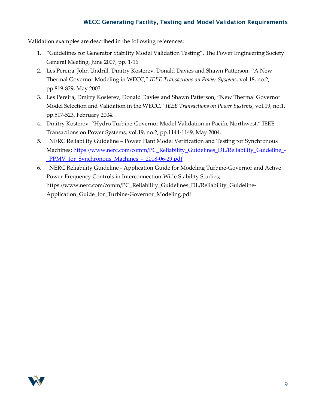Validation examples are described in the following references:

- 1. "Guidelines for Generator Stability Model Validation Testing", The Power Engineering Society General Meeting, June 2007, pp. 1-16
- 2. Les Pereira, John Undrill, Dmitry Kosterev, Donald Davies and Shawn Patterson, "A New Thermal Governor Modeling in WECC," *IEEE Transactions on Power Systems*, vol.18, no.2, pp.819-829, May 2003.
- 3. Les Pereira, Dmitry Kosterev, Donald Davies and Shawn Patterson, "New Thermal Governor Model Selection and Validation in the WECC," *IEEE Transactions on Power Systems*, vol.19, no.1, pp.517-523, February 2004.
- 4. Dmitry Kosterev, "Hydro Turbine-Governor Model Validation in Pacific Northwest," IEEE Transactions on Power Systems, vol.19, no.2, pp.1144-1149, May 2004.
- 5. NERC Reliability Guideline Power Plant Model Verification and Testing for Synchronous Machines; https://www.nerc.com/comm/PC\_Reliability\_Guidelines\_DL/Reliability\_Guideline -PPMV for Synchronous Machines - 2018-06-29.pdf
- 6. NERC Reliability Guideline Application Guide for Modeling Turbine-Governor and Active Power-Frequency Controls in Interconnection-Wide Stability Studies; https://www.nerc.com/comm/PC\_Reliability\_Guidelines\_DL/Reliability\_Guideline-Application\_Guide\_for\_Turbine-Governor\_Modeling.pdf

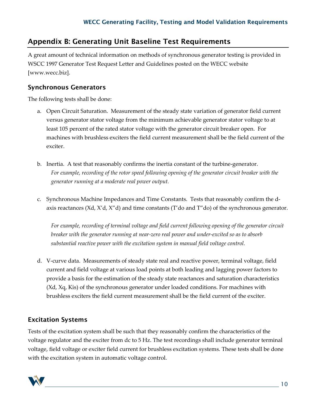## <span id="page-9-0"></span>Appendix B: Generating Unit Baseline Test Requirements

A great amount of technical information on methods of synchronous generator testing is provided in WSCC 1997 Generator Test Request Letter and Guidelines posted on the WECC website [www.wecc.biz].

## Synchronous Generators

The following tests shall be done:

- a. Open Circuit Saturation. Measurement of the steady state variation of generator field current versus generator stator voltage from the minimum achievable generator stator voltage to at least 105 percent of the rated stator voltage with the generator circuit breaker open. For machines with brushless exciters the field current measurement shall be the field current of the exciter.
- b. Inertia. A test that reasonably confirms the inertia constant of the turbine-generator. *For example, recording of the rotor speed following opening of the generator circuit breaker with the generator running at a moderate real power output.*
- c. Synchronous Machine Impedances and Time Constants. Tests that reasonably confirm the daxis reactances (Xd, X'd, X"d) and time constants (T'do and T"do) of the synchronous generator.

*For example, recording of terminal voltage and field current following opening of the generator circuit breaker with the generator running at near-zero real power and under-excited so as to absorb substantial reactive power with the excitation system in manual field voltage control.* 

d. V-curve data. Measurements of steady state real and reactive power, terminal voltage, field current and field voltage at various load points at both leading and lagging power factors to provide a basis for the estimation of the steady state reactances and saturation characteristics (Xd, Xq, Kis) of the synchronous generator under loaded conditions. For machines with brushless exciters the field current measurement shall be the field current of the exciter.

## Excitation Systems

Tests of the excitation system shall be such that they reasonably confirm the characteristics of the voltage regulator and the exciter from dc to 5 Hz. The test recordings shall include generator terminal voltage, field voltage or exciter field current for brushless excitation systems. These tests shall be done with the excitation system in automatic voltage control.

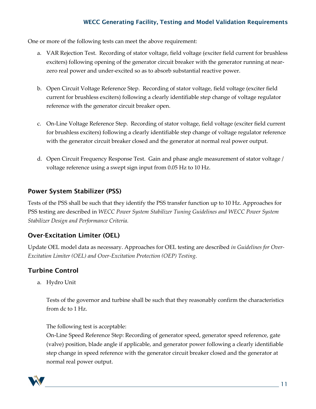One or more of the following tests can meet the above requirement:

- a. VAR Rejection Test. Recording of stator voltage, field voltage (exciter field current for brushless exciters) following opening of the generator circuit breaker with the generator running at nearzero real power and under-excited so as to absorb substantial reactive power.
- b. Open Circuit Voltage Reference Step. Recording of stator voltage, field voltage (exciter field current for brushless exciters) following a clearly identifiable step change of voltage regulator reference with the generator circuit breaker open.
- c. On-Line Voltage Reference Step. Recording of stator voltage, field voltage (exciter field current for brushless exciters) following a clearly identifiable step change of voltage regulator reference with the generator circuit breaker closed and the generator at normal real power output.
- d. Open Circuit Frequency Response Test. Gain and phase angle measurement of stator voltage / voltage reference using a swept sign input from 0.05 Hz to 10 Hz.

## Power System Stabilizer (PSS)

Tests of the PSS shall be such that they identify the PSS transfer function up to 10 Hz. Approaches for PSS testing are described in *WECC Power System Stabilizer Tuning Guidelines and WECC Power System Stabilizer Design and Performance Criteria.*

## Over-Excitation Limiter (OEL)

Update OEL model data as necessary. Approaches for OEL testing are described *in Guidelines for Over-Excitation Limiter (OEL) and Over-Excitation Protection (OEP) Testing*.

## Turbine Control

a. Hydro Unit

Tests of the governor and turbine shall be such that they reasonably confirm the characteristics from dc to 1 Hz.

The following test is acceptable:

On-Line Speed Reference Step: Recording of generator speed, generator speed reference, gate (valve) position, blade angle if applicable, and generator power following a clearly identifiable step change in speed reference with the generator circuit breaker closed and the generator at normal real power output.

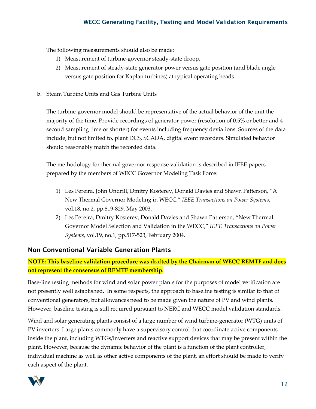The following measurements should also be made:

- 1) Measurement of turbine-governor steady-state droop.
- 2) Measurement of steady-state generator power versus gate position (and blade angle versus gate position for Kaplan turbines) at typical operating heads.
- b. Steam Turbine Units and Gas Turbine Units

The turbine-governor model should be representative of the actual behavior of the unit the majority of the time. Provide recordings of generator power (resolution of 0.5% or better and 4 second sampling time or shorter) for events including frequency deviations. Sources of the data include, but not limited to, plant DCS, SCADA, digital event recorders. Simulated behavior should reasonably match the recorded data.

The methodology for thermal governor response validation is described in IEEE papers prepared by the members of WECC Governor Modeling Task Force:

- 1) Les Pereira, John Undrill, Dmitry Kosterev, Donald Davies and Shawn Patterson, "A New Thermal Governor Modeling in WECC," *IEEE Transactions on Power Systems*, vol.18, no.2, pp.819-829, May 2003.
- 2) Les Pereira, Dmitry Kosterev, Donald Davies and Shawn Patterson, "New Thermal Governor Model Selection and Validation in the WECC," *IEEE Transactions on Power Systems*, vol.19, no.1, pp.517-523, February 2004.

## Non-Conventional Variable Generation Plants

## **NOTE: This baseline validation procedure was drafted by the Chairman of WECC REMTF and does not represent the consensus of REMTF membership.**

Base-line testing methods for wind and solar power plants for the purposes of model verification are not presently well established. In some respects, the approach to baseline testing is similar to that of conventional generators, but allowances need to be made given the nature of PV and wind plants. However, baseline testing is still required pursuant to NERC and WECC model validation standards.

Wind and solar generating plants consist of a large number of wind turbine-generator (WTG) units of PV inverters. Large plants commonly have a supervisory control that coordinate active components inside the plant, including WTGs/inverters and reactive support devices that may be present within the plant. However, because the dynamic behavior of the plant is a function of the plant controller, individual machine as well as other active components of the plant, an effort should be made to verify each aspect of the plant.

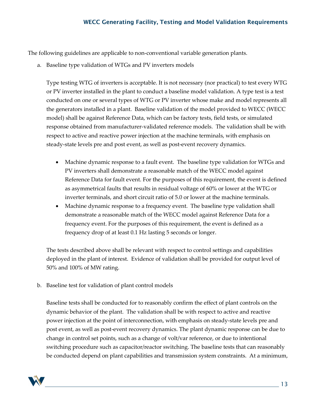The following guidelines are applicable to non-conventional variable generation plants.

a. Baseline type validation of WTGs and PV inverters models

Type testing WTG of inverters is acceptable. It is not necessary (nor practical) to test every WTG or PV inverter installed in the plant to conduct a baseline model validation. A type test is a test conducted on one or several types of WTG or PV inverter whose make and model represents all the generators installed in a plant. Baseline validation of the model provided to WECC (WECC model) shall be against Reference Data, which can be factory tests, field tests, or simulated response obtained from manufacturer-validated reference models. The validation shall be with respect to active and reactive power injection at the machine terminals, with emphasis on steady-state levels pre and post event, as well as post-event recovery dynamics.

- Machine dynamic response to a fault event. The baseline type validation for WTGs and PV inverters shall demonstrate a reasonable match of the WECC model against Reference Data for fault event. For the purposes of this requirement, the event is defined as asymmetrical faults that results in residual voltage of 60% or lower at the WTG or inverter terminals, and short circuit ratio of 5.0 or lower at the machine terminals.
- Machine dynamic response to a frequency event. The baseline type validation shall demonstrate a reasonable match of the WECC model against Reference Data for a frequency event. For the purposes of this requirement, the event is defined as a frequency drop of at least 0.1 Hz lasting 5 seconds or longer.

The tests described above shall be relevant with respect to control settings and capabilities deployed in the plant of interest. Evidence of validation shall be provided for output level of 50% and 100% of MW rating.

b. Baseline test for validation of plant control models

Baseline tests shall be conducted for to reasonably confirm the effect of plant controls on the dynamic behavior of the plant. The validation shall be with respect to active and reactive power injection at the point of interconnection, with emphasis on steady-state levels pre and post event, as well as post-event recovery dynamics. The plant dynamic response can be due to change in control set points, such as a change of volt/var reference, or due to intentional switching procedure such as capacitor/reactor switching. The baseline tests that can reasonably be conducted depend on plant capabilities and transmission system constraints. At a minimum,

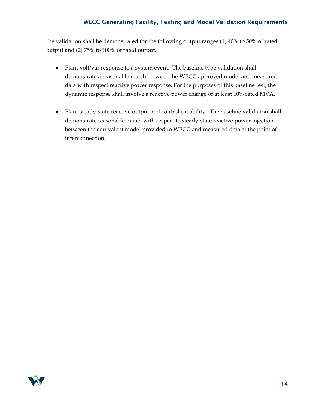the validation shall be demonstrated for the following output ranges (1) 40% to 50% of rated output and (2) 75% to 100% of rated output.

- Plant volt/var response to a system event. The baseline type validation shall demonstrate a reasonable match between the WECC approved model and measured data with respect reactive power response. For the purposes of this baseline test, the dynamic response shall involve a reactive power change of at least 10% rated MVA.
- Plant steady-state reactive output and control capability. The baseline validation shall demonstrate reasonable match with respect to steady-state reactive power injection between the equivalent model provided to WECC and measured data at the point of interconnection.

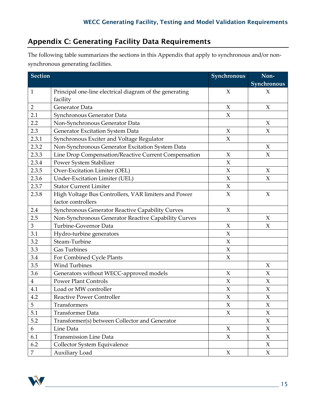# <span id="page-14-0"></span>Appendix C: Generating Facility Data Requirements

The following table summarizes the sections in this Appendix that apply to synchronous and/or nonsynchronous generating facilities.

| <b>Section</b> |                                                         | Synchronous         | Non-                |
|----------------|---------------------------------------------------------|---------------------|---------------------|
|                |                                                         |                     | Synchronous         |
| $\mathbf{1}$   | Principal one-line electrical diagram of the generating | $\chi$              | $\chi$              |
|                | facility                                                |                     |                     |
| $\overline{2}$ | Generator Data                                          | $\boldsymbol{\chi}$ | $\chi$              |
| 2.1            | Synchronous Generator Data                              | $\overline{X}$      |                     |
| 2.2            | Non-Synchronous Generator Data                          |                     | $\chi$              |
| 2.3            | Generator Excitation System Data                        | $\boldsymbol{\chi}$ | $\chi$              |
| 2.3.1          | Synchronous Exciter and Voltage Regulator               | $\chi$              |                     |
| 2.3.2          | Non-Synchronous Generator Excitation System Data        |                     | X                   |
| 2.3.3          | Line Drop Compensation/Reactive Current Compensation    | $\chi$              | $\chi$              |
| 2.3.4          | Power System Stabilizer                                 | X                   |                     |
| 2.3.5          | Over-Excitation Limiter (OEL)                           | $\chi$              | X                   |
| 2.3.6          | Under-Excitation Limiter (UEL)                          | $\chi$              | $\chi$              |
| 2.3.7          | <b>Stator Current Limiter</b>                           | $\overline{X}$      |                     |
| 2.3.8          | High Voltage Bus Controllers, VAR limiters and Power    | $\mathsf X$         | X                   |
|                | factor controllers                                      |                     |                     |
| 2.4            | <b>Synchronous Generator Reactive Capability Curves</b> | X                   |                     |
| 2.5            | Non-Synchronous Generator Reactive Capability Curves    |                     | $\boldsymbol{\chi}$ |
| $\mathfrak{Z}$ | Turbine-Governor Data                                   | X                   | $\boldsymbol{\chi}$ |
| 3.1            | Hydro-turbine generators                                | $\chi$              |                     |
| 3.2            | Steam-Turbine                                           | $\chi$              |                     |
| 3.3            | <b>Gas Turbines</b>                                     | $\chi$              |                     |
| 3.4            | For Combined Cycle Plants                               | $\chi$              |                     |
| 3.5            | <b>Wind Turbines</b>                                    |                     | $\chi$              |
| 3.6            | Generators without WECC-approved models                 | $\chi$              | $\chi$              |
| $\overline{4}$ | <b>Power Plant Controls</b>                             | $\chi$              | $\boldsymbol{\chi}$ |
| 4.1            | Load or MW controller                                   | $\chi$              | $\chi$              |
| 4.2            | <b>Reactive Power Controller</b>                        | X                   | $\boldsymbol{\chi}$ |
| 5              | Transformers                                            | X                   | X                   |
| 5.1            | <b>Transformer Data</b>                                 | $\chi$              | $\chi$              |
| 5.2            | Transformer(s) between Collector and Generator          |                     | $\chi$              |
| 6              | Line Data                                               | $\chi$              | $\chi$              |
| 6.1            | <b>Transmission Line Data</b>                           | $\boldsymbol{\chi}$ | $\chi$              |
| 6.2            | Collector System Equivalence                            |                     | $\chi$              |
| $\overline{7}$ | Auxiliary Load                                          | $\boldsymbol{X}$    | $\chi$              |

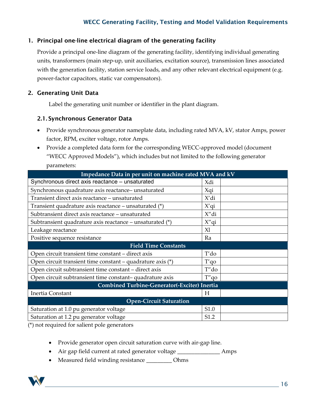#### 1. Principal one-line electrical diagram of the generating facility

Provide a principal one-line diagram of the generating facility, identifying individual generating units, transformers (main step-up, unit auxiliaries, excitation source), transmission lines associated with the generation facility, station service loads, and any other relevant electrical equipment (e.g. power-factor capacitors, static var compensators).

### 2. Generating Unit Data

Label the generating unit number or identifier in the plant diagram.

#### 2.1. Synchronous Generator Data

- Provide synchronous generator nameplate data, including rated MVA, kV, stator Amps, power factor, RPM, exciter voltage, rotor Amps.
- Provide a completed data form for the corresponding WECC-approved model (document "WECC Approved Models"), which includes but not limited to the following generator parameters:

| Impedance Data in per unit on machine rated MVA and kV       |          |  |  |  |  |
|--------------------------------------------------------------|----------|--|--|--|--|
| Synchronous direct axis reactance – unsaturated              | Xdi      |  |  |  |  |
| Synchronous quadrature axis reactance-unsaturated            | Xqi      |  |  |  |  |
| Transient direct axis reactance - unsaturated                | X'di     |  |  |  |  |
| Transient quadrature axis reactance – unsaturated $(*)$      | $X'$ qi  |  |  |  |  |
| Subtransient direct axis reactance - unsaturated             | X"di     |  |  |  |  |
| Subtransient quadrature axis reactance – unsaturated $(*)$   | $X''$ qi |  |  |  |  |
| Leakage reactance                                            | Xl       |  |  |  |  |
| Positive sequence resistance                                 | Ra       |  |  |  |  |
| <b>Field Time Constants</b>                                  |          |  |  |  |  |
| Open circuit transient time constant – direct axis           | T'do     |  |  |  |  |
| Open circuit transient time constant – quadrature axis $(*)$ | T'qo     |  |  |  |  |
| Open circuit subtransient time constant – direct axis        | T"do     |  |  |  |  |
| Open circuit subtransient time constant-quadrature axis      | $T''$ qo |  |  |  |  |
| Combined Turbine-Generator(-Exciter) Inertia                 |          |  |  |  |  |
| Inertia Constant                                             | Н        |  |  |  |  |
| <b>Open-Circuit Saturation</b>                               |          |  |  |  |  |
| Saturation at 1.0 pu generator voltage                       | S1.0     |  |  |  |  |
| Saturation at 1.2 pu generator voltage                       | S1.2     |  |  |  |  |

(\*) not required for salient pole generators

- Provide generator open circuit saturation curve with air-gap line.
- Air gap field current at rated generator voltage \_\_\_\_\_\_\_\_\_\_\_\_\_\_\_\_\_ Amps
- Measured field winding resistance \_\_\_\_\_\_\_\_\_ Ohms

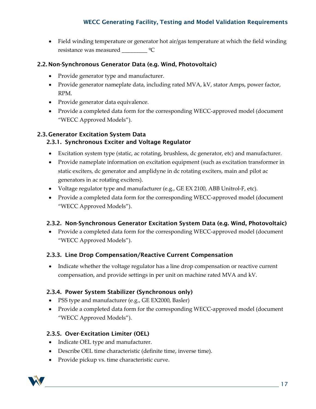• Field winding temperature or generator hot air/gas temperature at which the field winding resistance was measured  $\underline{\hspace{1cm}}$   $\circ$ C

#### 2.2. Non-Synchronous Generator Data (e.g. Wind, Photovoltaic)

- Provide generator type and manufacturer.
- Provide generator nameplate data, including rated MVA, kV, stator Amps, power factor, RPM.
- Provide generator data equivalence.
- Provide a completed data form for the corresponding WECC-approved model (document "WECC Approved Models").

## 2.3. Generator Excitation System Data

## 2.3.1. Synchronous Exciter and Voltage Regulator

- Excitation system type (static, ac rotating, brushless, dc generator, etc) and manufacturer.
- Provide nameplate information on excitation equipment (such as excitation transformer in static exciters, dc generator and amplidyne in dc rotating exciters, main and pilot ac generators in ac rotating exciters).
- Voltage regulator type and manufacturer (e.g., GE EX 2100, ABB Unitrol-F, etc).
- Provide a completed data form for the corresponding WECC-approved model (document "WECC Approved Models").

## 2.3.2. Non-Synchronous Generator Excitation System Data (e.g. Wind, Photovoltaic)

• Provide a completed data form for the corresponding WECC-approved model (document "WECC Approved Models").

#### 2.3.3. Line Drop Compensation/Reactive Current Compensation

• Indicate whether the voltage regulator has a line drop compensation or reactive current compensation, and provide settings in per unit on machine rated MVA and kV.

#### 2.3.4. Power System Stabilizer (Synchronous only)

- PSS type and manufacturer (e.g., GE EX2000, Basler)
- Provide a completed data form for the corresponding WECC-approved model (document "WECC Approved Models").

## 2.3.5. Over-Excitation Limiter (OEL)

- Indicate OEL type and manufacturer.
- Describe OEL time characteristic (definite time, inverse time).
- Provide pickup vs. time characteristic curve.

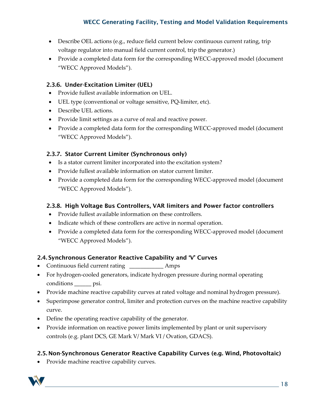- Describe OEL actions (e.g., reduce field current below continuous current rating, trip voltage regulator into manual field current control, trip the generator.)
- Provide a completed data form for the corresponding WECC-approved model (document "WECC Approved Models").

### 2.3.6. Under-Excitation Limiter (UEL)

- Provide fullest available information on UEL.
- UEL type (conventional or voltage sensitive, PQ-limiter, etc).
- Describe UEL actions.
- Provide limit settings as a curve of real and reactive power.
- Provide a completed data form for the corresponding WECC-approved model (document "WECC Approved Models").

## 2.3.7. Stator Current Limiter (Synchronous only)

- Is a stator current limiter incorporated into the excitation system?
- Provide fullest available information on stator current limiter.
- Provide a completed data form for the corresponding WECC-approved model (document "WECC Approved Models").

## 2.3.8. High Voltage Bus Controllers, VAR limiters and Power factor controllers

- Provide fullest available information on these controllers.
- Indicate which of these controllers are active in normal operation.
- Provide a completed data form for the corresponding WECC-approved model (document "WECC Approved Models").

## 2.4. Synchronous Generator Reactive Capability and 'V' Curves

- Continuous field current rating \_\_\_\_\_\_\_\_\_\_\_\_ Amps
- For hydrogen-cooled generators, indicate hydrogen pressure during normal operating conditions \_\_\_\_\_\_ psi.
- Provide machine reactive capability curves at rated voltage and nominal hydrogen pressure).
- Superimpose generator control, limiter and protection curves on the machine reactive capability curve.
- Define the operating reactive capability of the generator.
- Provide information on reactive power limits implemented by plant or unit supervisory controls (e.g. plant DCS, GE Mark V/ Mark VI / Ovation, GDACS).

## 2.5. Non-Synchronous Generator Reactive Capability Curves (e.g. Wind, Photovoltaic)

• Provide machine reactive capability curves.

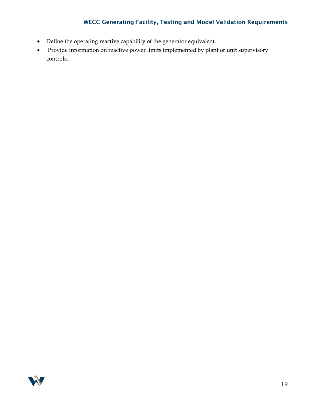- Define the operating reactive capability of the generator equivalent.
- Provide information on reactive power limits implemented by plant or unit supervisory controls.

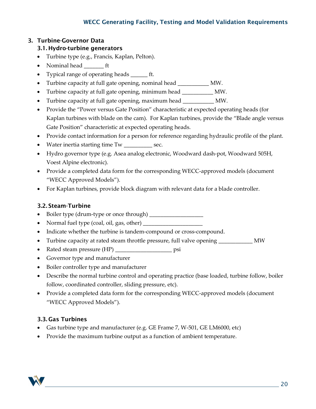## 3. Turbine-Governor Data

## 3.1. Hydro-turbine generators

- Turbine type (e.g., Francis, Kaplan, Pelton).
- Nominal head ft
- Typical range of operating heads \_\_\_\_\_\_ ft.
- Turbine capacity at full gate opening, nominal head \_\_\_\_\_\_\_\_\_\_\_ MW.
- Turbine capacity at full gate opening, minimum head \_\_\_\_\_\_\_\_\_\_\_ MW.
- Turbine capacity at full gate opening, maximum head \_\_\_\_\_\_\_\_\_\_\_ MW.
- Provide the "Power versus Gate Position" characteristic at expected operating heads (for Kaplan turbines with blade on the cam). For Kaplan turbines, provide the "Blade angle versus Gate Position" characteristic at expected operating heads.
- Provide contact information for a person for reference regarding hydraulic profile of the plant.
- Water inertia starting time Tw \_\_\_\_\_\_\_\_\_\_ sec.
- Hydro governor type (e.g. Asea analog electronic, Woodward dash-pot, Woodward 505H, Voest Alpine electronic).
- Provide a completed data form for the corresponding WECC-approved models (document "WECC Approved Models").
- For Kaplan turbines, provide block diagram with relevant data for a blade controller.

## 3.2. Steam-Turbine

- Boiler type (drum-type or once through) \_\_\_\_\_\_\_\_\_\_\_\_\_\_\_\_\_\_\_
- Normal fuel type (coal, oil, gas, other) \_\_\_\_\_\_\_\_\_\_\_\_\_\_\_\_\_\_\_\_\_
- Indicate whether the turbine is tandem-compound or cross-compound.
- Turbine capacity at rated steam throttle pressure, full valve opening \_\_\_\_\_\_\_\_\_\_\_\_ MW
- Rated steam pressure (HP) \_\_\_\_\_\_\_\_\_\_\_\_\_\_\_\_\_\_\_\_ psi
- Governor type and manufacturer
- Boiler controller type and manufacturer
- Describe the normal turbine control and operating practice (base loaded, turbine follow, boiler follow, coordinated controller, sliding pressure, etc).
- Provide a completed data form for the corresponding WECC-approved models (document "WECC Approved Models").

## 3.3. Gas Turbines

- Gas turbine type and manufacturer (e.g. GE Frame 7, W-501, GE LM6000, etc)
- Provide the maximum turbine output as a function of ambient temperature.

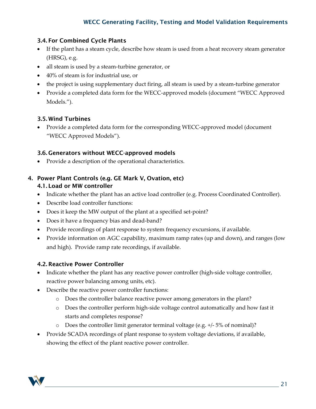## 3.4. For Combined Cycle Plants

- If the plant has a steam cycle, describe how steam is used from a heat recovery steam generator (HRSG), e.g.
- all steam is used by a steam-turbine generator, or
- 40% of steam is for industrial use, or
- the project is using supplementary duct firing, all steam is used by a steam-turbine generator
- Provide a completed data form for the WECC-approved models (document "WECC Approved Models.").

## 3.5. Wind Turbines

• Provide a completed data form for the corresponding WECC-approved model (document "WECC Approved Models").

## 3.6. Generators without WECC-approved models

• Provide a description of the operational characteristics.

## 4. Power Plant Controls (e.g. GE Mark V, Ovation, etc) 4.1. Load or MW controller

- Indicate whether the plant has an active load controller (e.g. Process Coordinated Controller).
- Describe load controller functions:
- Does it keep the MW output of the plant at a specified set-point?
- Does it have a frequency bias and dead-band?
- Provide recordings of plant response to system frequency excursions, if available.
- Provide information on AGC capability, maximum ramp rates (up and down), and ranges (low and high). Provide ramp rate recordings, if available.

## 4.2. Reactive Power Controller

- Indicate whether the plant has any reactive power controller (high-side voltage controller, reactive power balancing among units, etc).
- Describe the reactive power controller functions:
	- o Does the controller balance reactive power among generators in the plant?
	- o Does the controller perform high-side voltage control automatically and how fast it starts and completes response?
	- $\circ$  Does the controller limit generator terminal voltage (e.g. +/-5% of nominal)?
- Provide SCADA recordings of plant response to system voltage deviations, if available, showing the effect of the plant reactive power controller.

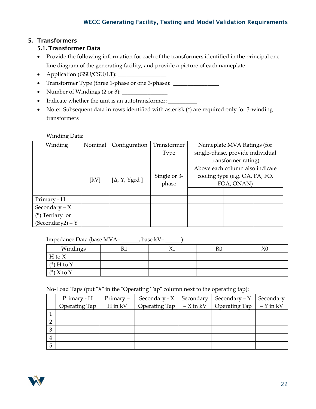## 5. Transformers

## 5.1. Transformer Data

- Provide the following information for each of the transformers identified in the principal oneline diagram of the generating facility, and provide a picture of each nameplate.
- Application (GSU/CSU/LT): \_\_\_\_\_\_\_\_\_\_\_\_\_\_\_\_\_
- Transformer Type (three 1-phase or one 3-phase): \_\_\_\_\_\_\_\_\_\_\_\_\_\_\_\_\_\_\_\_\_\_\_\_\_\_\_\_\_
- Number of Windings (2 or 3): \_\_\_\_\_\_\_\_\_\_\_\_\_\_\_\_
- Indicate whether the unit is an autotransformer: \_\_\_\_\_\_\_\_\_\_\_
- Note: Subsequent data in rows identified with asterisk (\*) are required only for 3-winding transformers

#### Winding Data:

| Winding            | Nominal | Configuration         | Transformer  | Nameplate MVA Ratings (for       |  |
|--------------------|---------|-----------------------|--------------|----------------------------------|--|
|                    |         |                       | Type         | single-phase, provide individual |  |
|                    |         |                       |              | transformer rating)              |  |
|                    |         |                       |              | Above each column also indicate  |  |
|                    |         |                       | Single or 3- | cooling type (e.g. OA, FA, FO,   |  |
|                    | [kV]    | [ $\Delta$ , Y, Ygrd] | phase        | FOA, ONAN)                       |  |
|                    |         |                       |              |                                  |  |
| Primary - H        |         |                       |              |                                  |  |
| Secondary $-X$     |         |                       |              |                                  |  |
| $(*)$ Tertiary or  |         |                       |              |                                  |  |
| $(Secondary2) - Y$ |         |                       |              |                                  |  |

Impedance Data (base MVA= \_\_\_\_\_\_, base kV= \_\_\_\_\_ ):

| Windings     | $\mathbf{v}$ | R0 | $\chi_{0}$ |
|--------------|--------------|----|------------|
| $H$ to $X$   |              |    |            |
| $(*)$ H to Y |              |    |            |
| $(*)$ X to Y |              |    |            |

No-Load Taps (put "X" in the "Operating Tap" column next to the operating tap):

|   | Primary - H   | $Primary -$ | Secondary - $X$   Secondary                   | Secondary – Y         | Secondary  |
|---|---------------|-------------|-----------------------------------------------|-----------------------|------------|
|   | Operating Tap | H in kV     | Operating Tap $\vert -X \text{ in } kV \vert$ | Operating Tap $\vert$ | $-Y$ in kV |
|   |               |             |                                               |                       |            |
|   |               |             |                                               |                       |            |
| 3 |               |             |                                               |                       |            |
| 4 |               |             |                                               |                       |            |
| 5 |               |             |                                               |                       |            |

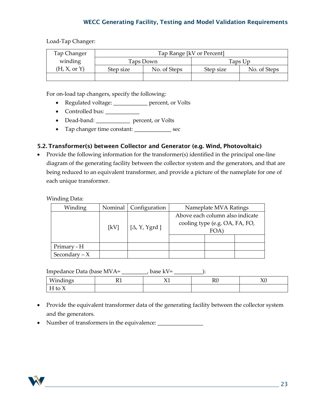Load-Tap Changer:

| Tap Changer  | Tap Range [kV or Percent] |           |           |              |  |
|--------------|---------------------------|-----------|-----------|--------------|--|
| winding      |                           | Taps Down | Taps Up   |              |  |
| (H, X, or Y) | No. of Steps<br>Step size |           | Step size | No. of Steps |  |
|              |                           |           |           |              |  |

For on-load tap changers, specify the following:

- Regulated voltage: \_\_\_\_\_\_\_\_\_\_\_\_ percent, or Volts
- Controlled bus: \_\_\_\_\_\_\_\_\_\_\_\_
- Dead-band: \_\_\_\_\_\_\_\_\_\_\_\_ percent, or Volts
- Tap changer time constant: \_\_\_\_\_\_\_\_\_\_\_\_\_ sec

#### 5.2. Transformer(s) between Collector and Generator (e.g. Wind, Photovoltaic)

• Provide the following information for the transformer(s) identified in the principal one-line diagram of the generating facility between the collector system and the generators, and that are being reduced to an equivalent transformer, and provide a picture of the nameplate for one of each unique transformer.

#### Winding Data:

| Winding        |      | Nominal   Configuration | Nameplate MVA Ratings                                                           |  |  |
|----------------|------|-------------------------|---------------------------------------------------------------------------------|--|--|
|                | [kV] | $[\Delta, Y, Y, grd]$   | Above each column also indicate<br>cooling type (e.g. OA, FA, FO,<br><b>FOA</b> |  |  |
| Primary - H    |      |                         |                                                                                 |  |  |
| Secondary $-X$ |      |                         |                                                                                 |  |  |

Impedance Data (base MVA= \_\_\_\_\_\_\_\_\_, base kV= \_\_\_\_\_\_\_\_\_\_):

| T A T<br>- -<br>---<br> | . | .<br>. . | $\mathbf{r}$<br>170 | $\sim$<br>$\sim$ |
|-------------------------|---|----------|---------------------|------------------|
| . .<br>$\sim$ $\sim$    |   |          |                     |                  |

- Provide the equivalent transformer data of the generating facility between the collector system and the generators.
- Number of transformers in the equivalence: \_\_\_\_\_\_\_\_\_\_\_\_\_\_\_\_\_\_\_\_\_\_\_\_\_\_\_\_\_\_\_\_\_\_\_

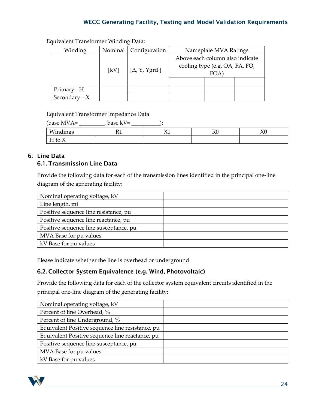| Winding        |      | Nominal   Configuration | Nameplate MVA Ratings                                                                 |  |  |
|----------------|------|-------------------------|---------------------------------------------------------------------------------------|--|--|
|                | [kV] | [ $\Delta$ , Y, Ygrd]   | Above each column also indicate<br>cooling type (e.g. OA, FA, FO,<br>FOA <sup>'</sup> |  |  |
| Primary - H    |      |                         |                                                                                       |  |  |
| Secondary $-X$ |      |                         |                                                                                       |  |  |

Equivalent Transformer Winding Data:

Equivalent Transformer Impedance Data

| (base MVA= | base kV= |    |    |
|------------|----------|----|----|
| Windings   |          | R0 | ΛU |
| $H$ to $X$ |          |    |    |

## 6. Line Data 6.1. Transmission Line Data

Provide the following data for each of the transmission lines identified in the principal one-line diagram of the generating facility:

| Nominal operating voltage, kV          |  |
|----------------------------------------|--|
| Line length, mi                        |  |
| Positive sequence line resistance, pu  |  |
| Positive sequence line reactance, pu   |  |
| Positive sequence line susceptance, pu |  |
| MVA Base for pu values                 |  |
| kV Base for pu values                  |  |

Please indicate whether the line is overhead or underground

## 6.2. Collector System Equivalence (e.g. Wind, Photovoltaic)

Provide the following data for each of the collector system equivalent circuits identified in the principal one-line diagram of the generating facility:

| Nominal operating voltage, kV                    |  |
|--------------------------------------------------|--|
| Percent of line Overhead, %                      |  |
| Percent of line Underground, %                   |  |
| Equivalent Positive sequence line resistance, pu |  |
| Equivalent Positive sequence line reactance, pu  |  |
| Positive sequence line susceptance, pu           |  |
| MVA Base for pu values                           |  |
| kV Base for pu values                            |  |

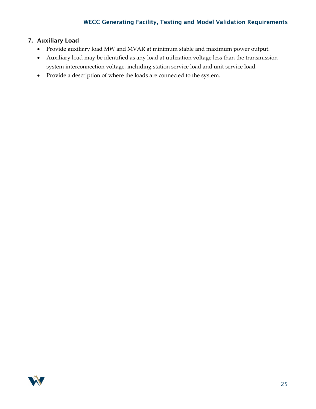### 7. Auxiliary Load

- Provide auxiliary load MW and MVAR at minimum stable and maximum power output.
- Auxiliary load may be identified as any load at utilization voltage less than the transmission system interconnection voltage, including station service load and unit service load.
- Provide a description of where the loads are connected to the system.

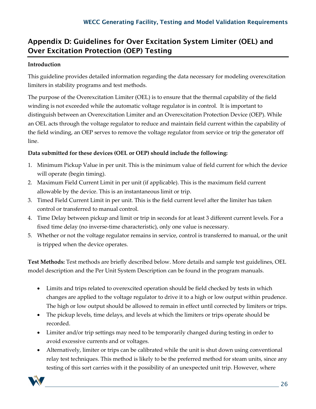# <span id="page-25-0"></span>Appendix D: Guidelines for Over Excitation System Limiter (OEL) and Over Excitation Protection (OEP) Testing

## **Introduction**

This guideline provides detailed information regarding the data necessary for modeling overexcitation limiters in stability programs and test methods.

The purpose of the Overexcitation Limiter (OEL) is to ensure that the thermal capability of the field winding is not exceeded while the automatic voltage regulator is in control. It is important to distinguish between an Overexcitation Limiter and an Overexcitation Protection Device (OEP). While an OEL acts through the voltage regulator to reduce and maintain field current within the capability of the field winding, an OEP serves to remove the voltage regulator from service or trip the generator off line.

## **Data submitted for these devices (OEL or OEP) should include the following:**

- 1. Minimum Pickup Value in per unit. This is the minimum value of field current for which the device will operate (begin timing).
- 2. Maximum Field Current Limit in per unit (if applicable). This is the maximum field current allowable by the device. This is an instantaneous limit or trip.
- 3. Timed Field Current Limit in per unit. This is the field current level after the limiter has taken control or transferred to manual control.
- 4. Time Delay between pickup and limit or trip in seconds for at least 3 different current levels. For a fixed time delay (no inverse-time characteristic), only one value is necessary.
- 5. Whether or not the voltage regulator remains in service, control is transferred to manual, or the unit is tripped when the device operates.

**Test Methods:** Test methods are briefly described below. More details and sample test guidelines, OEL model description and the Per Unit System Description can be found in the program manuals.

- Limits and trips related to overexcited operation should be field checked by tests in which changes are applied to the voltage regulator to drive it to a high or low output within prudence. The high or low output should be allowed to remain in effect until corrected by limiters or trips.
- The pickup levels, time delays, and levels at which the limiters or trips operate should be recorded.
- Limiter and/or trip settings may need to be temporarily changed during testing in order to avoid excessive currents and or voltages.
- Alternatively, limiter or trips can be calibrated while the unit is shut down using conventional relay test techniques. This method is likely to be the preferred method for steam units, since any testing of this sort carries with it the possibility of an unexpected unit trip. However, where

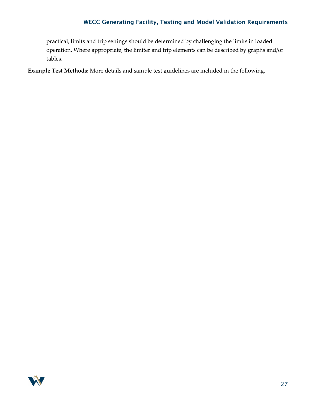practical, limits and trip settings should be determined by challenging the limits in loaded operation. Where appropriate, the limiter and trip elements can be described by graphs and/or tables.

**Example Test Methods:** More details and sample test guidelines are included in the following.

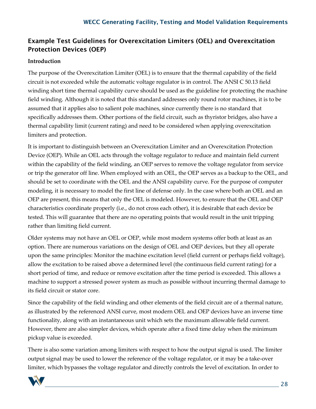## Example Test Guidelines for Overexcitation Limiters (OEL) and Overexcitation Protection Devices (OEP)

### **Introduction**

The purpose of the Overexcitation Limiter (OEL) is to ensure that the thermal capability of the field circuit is not exceeded while the automatic voltage regulator is in control. The ANSI C 50.13 field winding short time thermal capability curve should be used as the guideline for protecting the machine field winding. Although it is noted that this standard addresses only round rotor machines, it is to be assumed that it applies also to salient pole machines, since currently there is no standard that specifically addresses them. Other portions of the field circuit, such as thyristor bridges, also have a thermal capability limit (current rating) and need to be considered when applying overexcitation limiters and protection.

It is important to distinguish between an Overexcitation Limiter and an Overexcitation Protection Device (OEP). While an OEL acts through the voltage regulator to reduce and maintain field current within the capability of the field winding, an OEP serves to remove the voltage regulator from service or trip the generator off line. When employed with an OEL, the OEP serves as a backup to the OEL, and should be set to coordinate with the OEL and the ANSI capability curve. For the purpose of computer modeling, it is necessary to model the first line of defense only. In the case where both an OEL and an OEP are present, this means that only the OEL is modeled. However, to ensure that the OEL and OEP characteristics coordinate properly (i.e., do not cross each other), it is desirable that each device be tested. This will guarantee that there are no operating points that would result in the unit tripping rather than limiting field current.

Older systems may not have an OEL or OEP, while most modern systems offer both at least as an option. There are numerous variations on the design of OEL and OEP devices, but they all operate upon the same principles: Monitor the machine excitation level (field current or perhaps field voltage), allow the excitation to be raised above a determined level (the continuous field current rating) for a short period of time, and reduce or remove excitation after the time period is exceeded. This allows a machine to support a stressed power system as much as possible without incurring thermal damage to its field circuit or stator core.

Since the capability of the field winding and other elements of the field circuit are of a thermal nature, as illustrated by the referenced ANSI curve, most modern OEL and OEP devices have an inverse time functionality, along with an instantaneous unit which sets the maximum allowable field current. However, there are also simpler devices, which operate after a fixed time delay when the minimum pickup value is exceeded.

There is also some variation among limiters with respect to how the output signal is used. The limiter output signal may be used to lower the reference of the voltage regulator, or it may be a take-over limiter, which bypasses the voltage regulator and directly controls the level of excitation. In order to

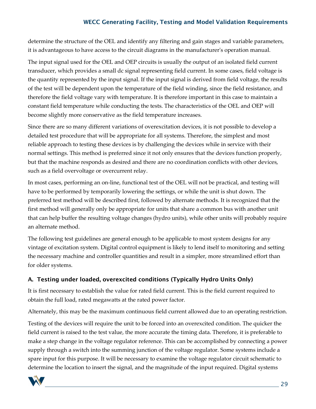determine the structure of the OEL and identify any filtering and gain stages and variable parameters, it is advantageous to have access to the circuit diagrams in the manufacturer's operation manual.

The input signal used for the OEL and OEP circuits is usually the output of an isolated field current transducer, which provides a small dc signal representing field current. In some cases, field voltage is the quantity represented by the input signal. If the input signal is derived from field voltage, the results of the test will be dependent upon the temperature of the field winding, since the field resistance, and therefore the field voltage vary with temperature. It is therefore important in this case to maintain a constant field temperature while conducting the tests. The characteristics of the OEL and OEP will become slightly more conservative as the field temperature increases.

Since there are so many different variations of overexcitation devices, it is not possible to develop a detailed test procedure that will be appropriate for all systems. Therefore, the simplest and most reliable approach to testing these devices is by challenging the devices while in service with their normal settings. This method is preferred since it not only ensures that the devices function properly, but that the machine responds as desired and there are no coordination conflicts with other devices, such as a field overvoltage or overcurrent relay.

In most cases, performing an on-line, functional test of the OEL will not be practical, and testing will have to be performed by temporarily lowering the settings, or while the unit is shut down. The preferred test method will be described first, followed by alternate methods. It is recognized that the first method will generally only be appropriate for units that share a common bus with another unit that can help buffer the resulting voltage changes (hydro units), while other units will probably require an alternate method.

The following test guidelines are general enough to be applicable to most system designs for any vintage of excitation system. Digital control equipment is likely to lend itself to monitoring and setting the necessary machine and controller quantities and result in a simpler, more streamlined effort than for older systems.

## A. Testing under loaded, overexcited conditions (Typically Hydro Units Only)

It is first necessary to establish the value for rated field current. This is the field current required to obtain the full load, rated megawatts at the rated power factor.

Alternately, this may be the maximum continuous field current allowed due to an operating restriction.

Testing of the devices will require the unit to be forced into an overexcited condition. The quicker the field current is raised to the test value, the more accurate the timing data. Therefore, it is preferable to make a step change in the voltage regulator reference. This can be accomplished by connecting a power supply through a switch into the summing junction of the voltage regulator. Some systems include a spare input for this purpose. It will be necessary to examine the voltage regulator circuit schematic to determine the location to insert the signal, and the magnitude of the input required. Digital systems

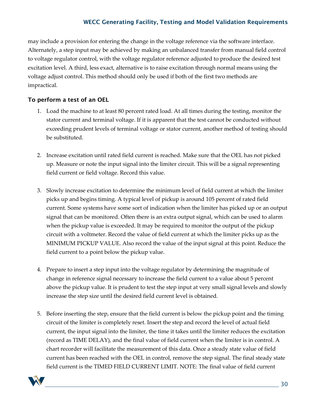may include a provision for entering the change in the voltage reference via the software interface. Alternately, a step input may be achieved by making an unbalanced transfer from manual field control to voltage regulator control, with the voltage regulator reference adjusted to produce the desired test excitation level. A third, less exact, alternative is to raise excitation through normal means using the voltage adjust control. This method should only be used if both of the first two methods are impractical.

### To perform a test of an OEL

- 1. Load the machine to at least 80 percent rated load. At all times during the testing, monitor the stator current and terminal voltage. If it is apparent that the test cannot be conducted without exceeding prudent levels of terminal voltage or stator current, another method of testing should be substituted.
- 2. Increase excitation until rated field current is reached. Make sure that the OEL has not picked up. Measure or note the input signal into the limiter circuit. This will be a signal representing field current or field voltage. Record this value.
- 3. Slowly increase excitation to determine the minimum level of field current at which the limiter picks up and begins timing. A typical level of pickup is around 105 percent of rated field current. Some systems have some sort of indication when the limiter has picked up or an output signal that can be monitored. Often there is an extra output signal, which can be used to alarm when the pickup value is exceeded. It may be required to monitor the output of the pickup circuit with a voltmeter. Record the value of field current at which the limiter picks up as the MINIMUM PICKUP VALUE. Also record the value of the input signal at this point. Reduce the field current to a point below the pickup value.
- 4. Prepare to insert a step input into the voltage regulator by determining the magnitude of change in reference signal necessary to increase the field current to a value about 5 percent above the pickup value. It is prudent to test the step input at very small signal levels and slowly increase the step size until the desired field current level is obtained.
- 5. Before inserting the step, ensure that the field current is below the pickup point and the timing circuit of the limiter is completely reset. Insert the step and record the level of actual field current, the input signal into the limiter, the time it takes until the limiter reduces the excitation (record as TIME DELAY), and the final value of field current when the limiter is in control. A chart recorder will facilitate the measurement of this data. Once a steady state value of field current has been reached with the OEL in control, remove the step signal. The final steady state field current is the TIMED FIELD CURRENT LIMIT. NOTE: The final value of field current

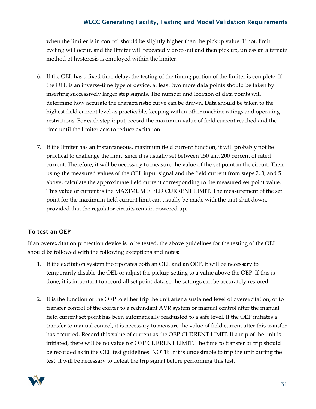when the limiter is in control should be slightly higher than the pickup value. If not, limit cycling will occur, and the limiter will repeatedly drop out and then pick up, unless an alternate method of hysteresis is employed within the limiter.

- 6. If the OEL has a fixed time delay, the testing of the timing portion of the limiter is complete. If the OEL is an inverse-time type of device, at least two more data points should be taken by inserting successively larger step signals. The number and location of data points will determine how accurate the characteristic curve can be drawn. Data should be taken to the highest field current level as practicable, keeping within other machine ratings and operating restrictions. For each step input, record the maximum value of field current reached and the time until the limiter acts to reduce excitation.
- 7. If the limiter has an instantaneous, maximum field current function, it will probably not be practical to challenge the limit, since it is usually set between 150 and 200 percent of rated current. Therefore, it will be necessary to measure the value of the set point in the circuit. Then using the measured values of the OEL input signal and the field current from steps 2, 3, and 5 above, calculate the approximate field current corresponding to the measured set point value. This value of current is the MAXIMUM FIELD CURRENT LIMIT. The measurement of the set point for the maximum field current limit can usually be made with the unit shut down, provided that the regulator circuits remain powered up.

## To test an OEP

If an overexcitation protection device is to be tested, the above guidelines for the testing of the OEL should be followed with the following exceptions and notes:

- 1. If the excitation system incorporates both an OEL and an OEP, it will be necessary to temporarily disable the OEL or adjust the pickup setting to a value above the OEP. If this is done, it is important to record all set point data so the settings can be accurately restored.
- 2. It is the function of the OEP to either trip the unit after a sustained level of overexcitation, or to transfer control of the exciter to a redundant AVR system or manual control after the manual field current set point has been automatically readjusted to a safe level. If the OEP initiates a transfer to manual control, it is necessary to measure the value of field current after this transfer has occurred. Record this value of current as the OEP CURRENT LIMIT. If a trip of the unit is initiated, there will be no value for OEP CURRENT LIMIT. The time to transfer or trip should be recorded as in the OEL test guidelines. NOTE: If it is undesirable to trip the unit during the test, it will be necessary to defeat the trip signal before performing this test.

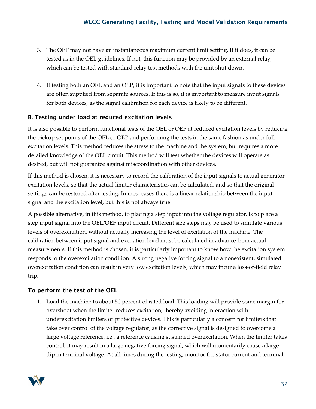- 3. The OEP may not have an instantaneous maximum current limit setting. If it does, it can be tested as in the OEL guidelines. If not, this function may be provided by an external relay, which can be tested with standard relay test methods with the unit shut down.
- 4. If testing both an OEL and an OEP, it is important to note that the input signals to these devices are often supplied from separate sources. If this is so, it is important to measure input signals for both devices, as the signal calibration for each device is likely to be different.

## B. Testing under load at reduced excitation levels

It is also possible to perform functional tests of the OEL or OEP at reduced excitation levels by reducing the pickup set points of the OEL or OEP and performing the tests in the same fashion as under full excitation levels. This method reduces the stress to the machine and the system, but requires a more detailed knowledge of the OEL circuit. This method will test whether the devices will operate as desired, but will not guarantee against miscoordination with other devices.

If this method is chosen, it is necessary to record the calibration of the input signals to actual generator excitation levels, so that the actual limiter characteristics can be calculated, and so that the original settings can be restored after testing. In most cases there is a linear relationship between the input signal and the excitation level, but this is not always true.

A possible alternative, in this method, to placing a step input into the voltage regulator, is to place a step input signal into the OEL/OEP input circuit. Different size steps may be used to simulate various levels of overexcitation, without actually increasing the level of excitation of the machine. The calibration between input signal and excitation level must be calculated in advance from actual measurements. If this method is chosen, it is particularly important to know how the excitation system responds to the overexcitation condition. A strong negative forcing signal to a nonexistent, simulated overexcitation condition can result in very low excitation levels, which may incur a loss-of-field relay trip.

## To perform the test of the OEL

1. Load the machine to about 50 percent of rated load. This loading will provide some margin for overshoot when the limiter reduces excitation, thereby avoiding interaction with underexcitation limiters or protective devices. This is particularly a concern for limiters that take over control of the voltage regulator, as the corrective signal is designed to overcome a large voltage reference, i.e., a reference causing sustained overexcitation. When the limiter takes control, it may result in a large negative forcing signal, which will momentarily cause a large dip in terminal voltage. At all times during the testing, monitor the stator current and terminal

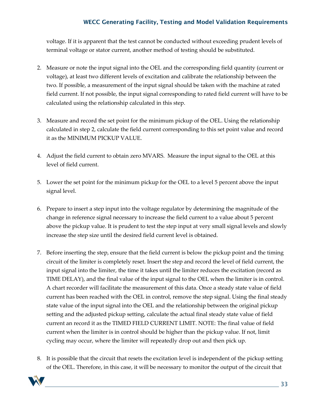voltage. If it is apparent that the test cannot be conducted without exceeding prudent levels of terminal voltage or stator current, another method of testing should be substituted.

- 2. Measure or note the input signal into the OEL and the corresponding field quantity (current or voltage), at least two different levels of excitation and calibrate the relationship between the two. If possible, a measurement of the input signal should be taken with the machine at rated field current. If not possible, the input signal corresponding to rated field current will have to be calculated using the relationship calculated in this step.
- 3. Measure and record the set point for the minimum pickup of the OEL. Using the relationship calculated in step 2, calculate the field current corresponding to this set point value and record it as the MINIMUM PICKUP VALUE.
- 4. Adjust the field current to obtain zero MVARS. Measure the input signal to the OEL at this level of field current.
- 5. Lower the set point for the minimum pickup for the OEL to a level 5 percent above the input signal level.
- 6. Prepare to insert a step input into the voltage regulator by determining the magnitude of the change in reference signal necessary to increase the field current to a value about 5 percent above the pickup value. It is prudent to test the step input at very small signal levels and slowly increase the step size until the desired field current level is obtained.
- 7. Before inserting the step, ensure that the field current is below the pickup point and the timing circuit of the limiter is completely reset. Insert the step and record the level of field current, the input signal into the limiter, the time it takes until the limiter reduces the excitation (record as TIME DELAY), and the final value of the input signal to the OEL when the limiter is in control. A chart recorder will facilitate the measurement of this data. Once a steady state value of field current has been reached with the OEL in control, remove the step signal. Using the final steady state value of the input signal into the OEL and the relationship between the original pickup setting and the adjusted pickup setting, calculate the actual final steady state value of field current an record it as the TIMED FIELD CURRENT LIMIT. NOTE: The final value of field current when the limiter is in control should be higher than the pickup value. If not, limit cycling may occur, where the limiter will repeatedly drop out and then pick up.
- 8. It is possible that the circuit that resets the excitation level is independent of the pickup setting of the OEL. Therefore, in this case, it will be necessary to monitor the output of the circuit that

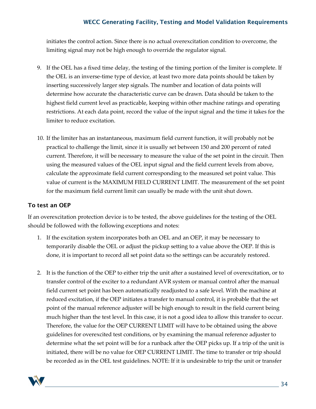initiates the control action. Since there is no actual overexcitation condition to overcome, the limiting signal may not be high enough to override the regulator signal.

- 9. If the OEL has a fixed time delay, the testing of the timing portion of the limiter is complete. If the OEL is an inverse-time type of device, at least two more data points should be taken by inserting successively larger step signals. The number and location of data points will determine how accurate the characteristic curve can be drawn. Data should be taken to the highest field current level as practicable, keeping within other machine ratings and operating restrictions. At each data point, record the value of the input signal and the time it takes for the limiter to reduce excitation.
- 10. If the limiter has an instantaneous, maximum field current function, it will probably not be practical to challenge the limit, since it is usually set between 150 and 200 percent of rated current. Therefore, it will be necessary to measure the value of the set point in the circuit. Then using the measured values of the OEL input signal and the field current levels from above, calculate the approximate field current corresponding to the measured set point value. This value of current is the MAXIMUM FIELD CURRENT LIMIT. The measurement of the set point for the maximum field current limit can usually be made with the unit shut down.

### To test an OEP

If an overexcitation protection device is to be tested, the above guidelines for the testing of the OEL should be followed with the following exceptions and notes:

- 1. If the excitation system incorporates both an OEL and an OEP, it may be necessary to temporarily disable the OEL or adjust the pickup setting to a value above the OEP. If this is done, it is important to record all set point data so the settings can be accurately restored.
- 2. It is the function of the OEP to either trip the unit after a sustained level of overexcitation, or to transfer control of the exciter to a redundant AVR system or manual control after the manual field current set point has been automatically readjusted to a safe level. With the machine at reduced excitation, if the OEP initiates a transfer to manual control, it is probable that the set point of the manual reference adjuster will be high enough to result in the field current being much higher than the test level. In this case, it is not a good idea to allow this transfer to occur. Therefore, the value for the OEP CURRENT LIMIT will have to be obtained using the above guidelines for overexcited test conditions, or by examining the manual reference adjuster to determine what the set point will be for a runback after the OEP picks up. If a trip of the unit is initiated, there will be no value for OEP CURRENT LIMIT. The time to transfer or trip should be recorded as in the OEL test guidelines. NOTE: If it is undesirable to trip the unit or transfer

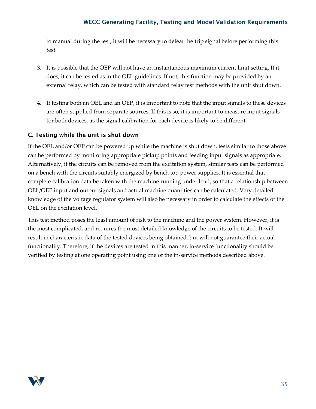to manual during the test, it will be necessary to defeat the trip signal before performing this test.

- 3. It is possible that the OEP will not have an instantaneous maximum current limit setting. If it does, it can be tested as in the OEL guidelines. If not, this function may be provided by an external relay, which can be tested with standard relay test methods with the unit shut down.
- 4. If testing both an OEL and an OEP, it is important to note that the input signals to these devices are often supplied from separate sources. If this is so, it is important to measure input signals for both devices, as the signal calibration for each device is likely to be different.

#### C. Testing while the unit is shut down

If the OEL and/or OEP can be powered up while the machine is shut down, tests similar to those above can be performed by monitoring appropriate pickup points and feeding input signals as appropriate. Alternatively, if the circuits can be removed from the excitation system, similar tests can be performed on a bench with the circuits suitably energized by bench top power supplies. It is essential that complete calibration data be taken with the machine running under load, so that a relationship between OEL/OEP input and output signals and actual machine quantities can be calculated. Very detailed knowledge of the voltage regulator system will also be necessary in order to calculate the effects of the OEL on the excitation level.

This test method poses the least amount of risk to the machine and the power system. However, it is the most complicated, and requires the most detailed knowledge of the circuits to be tested. It will result in characteristic data of the tested devices being obtained, but will not guarantee their actual functionality. Therefore, if the devices are tested in this manner, in-service functionality should be verified by testing at one operating point using one of the in-service methods described above.

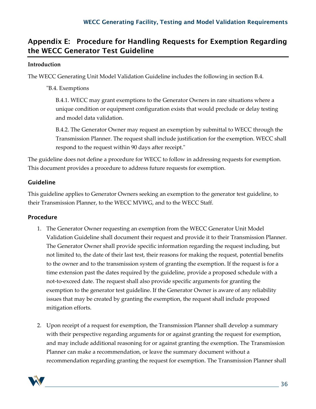# <span id="page-35-0"></span>Appendix E: Procedure for Handling Requests for Exemption Regarding the WECC Generator Test Guideline

### **Introduction**

The WECC Generating Unit Model Validation Guideline includes the following in section B.4.

"B.4. Exemptions

B.4.1. WECC may grant exemptions to the Generator Owners in rare situations where a unique condition or equipment configuration exists that would preclude or delay testing and model data validation.

B.4.2. The Generator Owner may request an exemption by submittal to WECC through the Transmission Planner. The request shall include justification for the exemption. WECC shall respond to the request within 90 days after receipt."

The guideline does not define a procedure for WECC to follow in addressing requests for exemption. This document provides a procedure to address future requests for exemption.

## Guideline

This guideline applies to Generator Owners seeking an exemption to the generator test guideline, to their Transmission Planner, to the WECC MVWG, and to the WECC Staff.

## Procedure

- 1. The Generator Owner requesting an exemption from the WECC Generator Unit Model Validation Guideline shall document their request and provide it to their Transmission Planner. The Generator Owner shall provide specific information regarding the request including, but not limited to, the date of their last test, their reasons for making the request, potential benefits to the owner and to the transmission system of granting the exemption. If the request is for a time extension past the dates required by the guideline, provide a proposed schedule with a not-to-exceed date. The request shall also provide specific arguments for granting the exemption to the generator test guideline. If the Generator Owner is aware of any reliability issues that may be created by granting the exemption, the request shall include proposed mitigation efforts.
- 2. Upon receipt of a request for exemption, the Transmission Planner shall develop a summary with their perspective regarding arguments for or against granting the request for exemption, and may include additional reasoning for or against granting the exemption. The Transmission Planner can make a recommendation, or leave the summary document without a recommendation regarding granting the request for exemption. The Transmission Planner shall

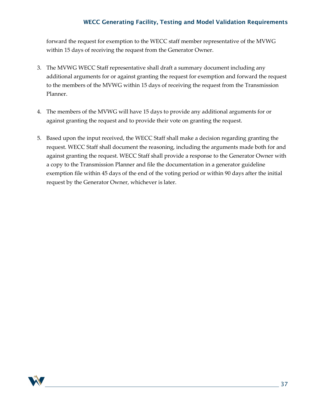forward the request for exemption to the WECC staff member representative of the MVWG within 15 days of receiving the request from the Generator Owner.

- 3. The MVWG WECC Staff representative shall draft a summary document including any additional arguments for or against granting the request for exemption and forward the request to the members of the MVWG within 15 days of receiving the request from the Transmission Planner.
- 4. The members of the MVWG will have 15 days to provide any additional arguments for or against granting the request and to provide their vote on granting the request.
- 5. Based upon the input received, the WECC Staff shall make a decision regarding granting the request. WECC Staff shall document the reasoning, including the arguments made both for and against granting the request. WECC Staff shall provide a response to the Generator Owner with a copy to the Transmission Planner and file the documentation in a generator guideline exemption file within 45 days of the end of the voting period or within 90 days after the initial request by the Generator Owner, whichever is later.